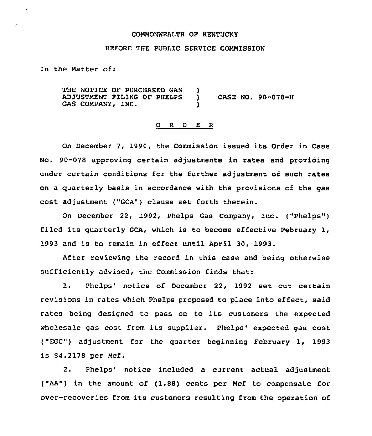#### COMMONWEALTH OF KENTUCKY

## BEFORE THE PUBLIC SERVICE COMMISSION

In the Hatter of:

 $\bullet$ 

THE NOTICE OF PURCHASED GAS ADJUSTMENT FILING OF PHELPS GAS COMPANY, INC. )<br>) ) CASE NO. 90-078-H )

## 0 <sup>R</sup> <sup>D</sup> E <sup>R</sup>

On December 7, 1990, the Commission issued its Order in Case No. 90-078 approving certain adjustments in rates and providing under certain conditions for the further adjustment of such rates on a quarterly basis in accordance with the provisions of the gas cost adjustment ("GCA") clause set forth therein.

On December 22, 1992, Phelps Gas Company, Inc. ("Phelps" ) filed its quarterly GCA, which is to become effective February 1, 1993 and is to remain in effect until April 30, 1993.

After reviewing the record in this case and being otherwise sufficiently advised, the Commission finds that:

1. Phelps' notice of December 22, 1992 set out certain revisions in rates which Phelps proposed to place into effect, said rates being designed to pass on to its customers the expected wholesale gas cost from its supplier. Phelps' expected gas cost ("EGC") adjustment for the guarter beginning February 1, 1993 is \$4.2178 per Hcf.

2. Phelps' notice included a current actual adjustment ("AA") in the amount of (1.88} cents per Ncf to compensate for over-recoveries from its customers resulting from the operation of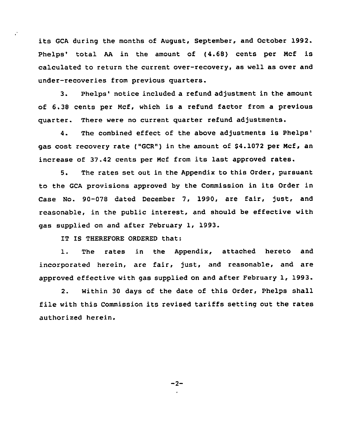its GCA during the months of August, September, and October 1992. Phelps' total AA in the amount of (4.68) cents per Mcf is calculated to return the current over-recovery, as well as over and under-recoveries from previous quarters.

3. Phelps' notice included a refund adjustment in the amount of 6.38 cents per Mcf, which is a refund factor from a previous quarter. There were no current quarter refund adjustments.

4. The combined effect of the above adjustments is Phelps' qas cost recovery rate ("GCR") in the amount of \$4.1072 per Mcf, an increase of 37.42 cents per Ncf from its last approved rates.

5. The rates set out in the Appendix to this Order, pursuant to the GCA provisions approved by the Commission in its Order in Case No. 90-078 dated December 7, 1990, are fair, just, and reasonable, in the public interest, and should be effective with gas supplied on and after February 1, 1993.

IT IS THEREFORE ORDERED that:

 $\ddot{\phantom{a}}$ 

1. The rates in the Appendix, attached hereto and incorporated herein, are fair, just, and reasonable, and are approved effective with gas supplied on and after February 1, 1993.

2. Within 30 days of the date of this Order, Phelps shall file with this Commission its revised tariffs setting out the rates authorized herein.

 $-2-$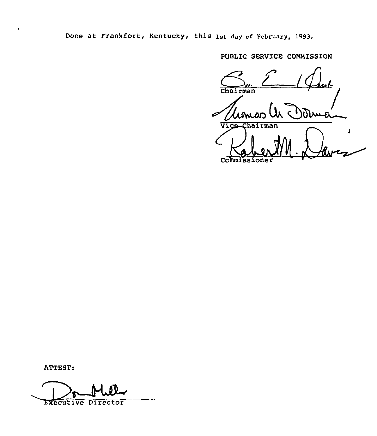Done at Frankfort, Kentucky, this 1st day of February, 1993.

PUBLIC SERVICE COMMISSION

Chairman W Dune Ĵ. CoInmissioner

ATTEST:

 $\bullet$ 

Executive Director